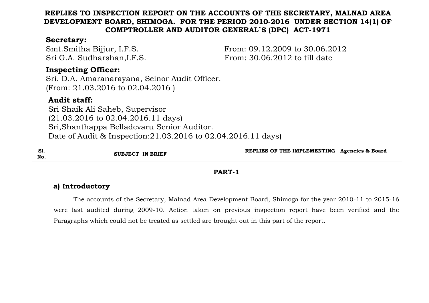# **REPLIES TO INSPECTION REPORT ON THE ACCOUNTS OF THE SECRETARY, MALNAD AREA DEVELOPMENT BOARD, SHIMOGA. FOR THE PERIOD 2010-2016 UNDER SECTION 14(1) OF COMPTROLLER AND AUDITOR GENERAL`S (DPC) ACT-1971**

# **Secretary:**

Smt.Smitha Bijjur, I.F.S. From: 09.12.2009 to 30.06.2012 Sri G.A. Sudharshan, I.F.S. From: 30.06.2012 to till date

# **Inspecting Officer:**

Sri. D.A. Amaranarayana, Seinor Audit Officer. (From: 21.03.2016 to 02.04.2016 )

# **Audit staff:**

Sri Shaik Ali Saheb, Supervisor (21.03.2016 to 02.04.2016.11 days) Sri,Shanthappa Belladevaru Senior Auditor. Date of Audit & Inspection:21.03.2016 to 02.04.2016.11 days)

| S1.<br>No. | SUBJECT IN BRIEF                                                                                        | REPLIES OF THE IMPLEMENTING Agencies & Board |  |  |  |
|------------|---------------------------------------------------------------------------------------------------------|----------------------------------------------|--|--|--|
|            | PART-1                                                                                                  |                                              |  |  |  |
|            | a) Introductory                                                                                         |                                              |  |  |  |
|            | The accounts of the Secretary, Malnad Area Development Board, Shimoga for the year 2010-11 to 2015-16   |                                              |  |  |  |
|            | were last audited during 2009-10. Action taken on previous inspection report have been verified and the |                                              |  |  |  |
|            | Paragraphs which could not be treated as settled are brought out in this part of the report.            |                                              |  |  |  |
|            |                                                                                                         |                                              |  |  |  |
|            |                                                                                                         |                                              |  |  |  |
|            |                                                                                                         |                                              |  |  |  |
|            |                                                                                                         |                                              |  |  |  |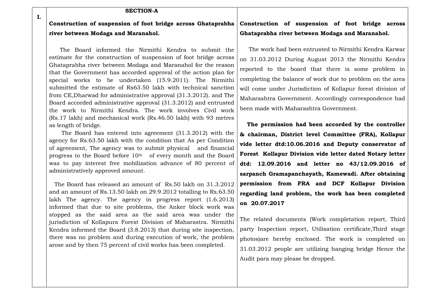#### **SECTION-A**

**I.**

#### **Construction of suspension of foot bridge across Ghataprabha river between Modaga and Maranahol. Construction of suspension of foot bridge across Ghataprabha river between Modaga and Maranahol.**

 The Board informed the Nirmithi Kendra to submit the estimate for the construction of suspension of foot bridge across Ghataprabha river between Modaga and Maranahol for the reason that the Government has accorded approval of the action plan for special works to be undertaken (15.9.2011). The Nirmithi submitted the estimate of Rs63.50 lakh with technical sanction from CE,Dharwad for administrative approval (31.3.2012). and The Board accorded administrative approval (31.3.2012) and entrusted the work to Nirmithi Kendra. The work involves Civil work (Rs.17 lakh) and mechanical work (Rs.46.50 lakh) with 93 metres as length of bridge.

 The Board has entered into agreement (31.3.2012) with the agency for Rs.63.50 lakh with the condition that As per Condition of agreement, The agency was to submit physical and financial progress to the Board before 10th of every month and the Board was to pay interest free mobilization advance of 80 percent of administratively approved amount.

 The Board has released an amount of Rs.50 lakh on 31.3.2012 and an amount of Rs.13.50 lakh on 29.9.2012 totalling to Rs.63.50 lakh The agency. The agency in progress report (1.6.2013) informed that due to site problems, the Anker block work was stopped as the said area as the said area was under the jurisdiction of Kollapura Forest Division of Maharastra. Nirmithi Kendra informed the Board (3.8.2013) that during site inspection, there was no problem and during execution of work, the problem arose and by then 75 percent of civil works has been completed.

 The work had been entrusted to Nirmithi Kendra Karwar on 31.03.2012 During August 2013 the Nirmithi Kendra reported to the board that there is some problem in completing the balance of work due to problem on the area will come under Jurisdiction of Kollapur forest division of Maharashtra Government. Accordingly correspondence had been made with Maharashtra Government.

 **The permission had been accorded by the controller & chairman, District level Committee (FRA), Kollapur vide letter dtd:10.06.2016 and Deputy conservator of Forest Kollapur Division vide letter dated Notary letter dtd: 12.09.2016 and letter no 43/12.09.2016 of sarpanch Gramapanchayath, Kamewadi. After obtaining permission from FRA and DCF Kollapur Division regarding land problem, the work has been completed on 20.07.2017**

The related documents (Work completation report, Third party Inspection report, Utilisation certificate,Third stage photos)are hereby enclosed. The work is completed on 31.03.2012 people are utilizing hanging bridge Hence the Audit para may please be dropped.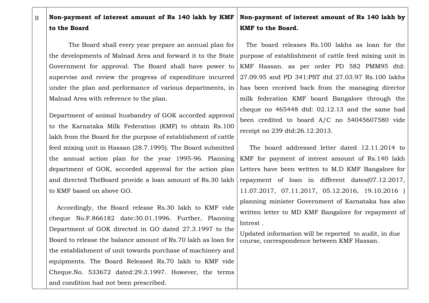#### II **Non-payment of interest amount of Rs 140 lakh by KMF to the Board Non-payment of interest amount of Rs 140 lakh by KMF to the Board.**

 The Board shall every year prepare an annual plan for the developments of Malnad Area and forward it to the State Government for approval. The Board shall have power to supervise and review the progress of expenditure incurred under the plan and performance of various departments, in Malnad Area with reference to the plan.

Department of animal husbandry of GOK accorded approval to the Karnataka Milk Federation (KMF) to obtain Rs.100 lakh from the Board for the purpose of establishment of cattle feed mixing unit in Hassan (28.7.1995). The Board submitted the annual action plan for the year 1995-96. Planning department of GOK, accorded approval for the action plan and directed TheBoard provide a loan amount of Rs.30 lakh to KMF based on above GO.

 Accordingly, the Board release Rs.30 lakh to KMF vide cheque No.F.866182 date:30.01.1996. Further, Planning Department of GOK directed in GO dated 27.3.1997 to the Board to release the balance amount of Rs.70 lakh as loan for the establishment of unit towards purchase of machinery and equipments. The Board Released Rs.70 lakh to KMF vide Cheque.No. 533672 dated:29.3.1997. However, the terms and condition had not been prescribed.

# The board releases Rs.100 lakhs as loan for the purpose of establishment of cattle feed mixing unit in KMF Hassan. as per order PD 582 PMM95 dtd: 27.09.95 and PD 341:PST dtd 27.03.97 Rs.100 lakhs has been received back from the managing director milk federation KMF board Bangalore through the cheque no 465448 dtd: 02.12.13 and the same had been credited to board A/C no 54045607580 vide receipt no 239 dtd:26.12.2013.

 The board addressed letter dated 12.11.2014 to KMF for payment of intrest amount of Rs.140 lakh Letters have been written to M.D KMF Bangalore for repayment of loan in different dates(07.12.2017, 11.07.2017, 07.11.2017, 05.12.2016, 19.10.2016 ) planning minister Government of Karnataka has also written letter to MD KMF Bangalore for repayment of Intrest .

Updated information will be reported to audit, in due course, correspondence between KMF Hassan.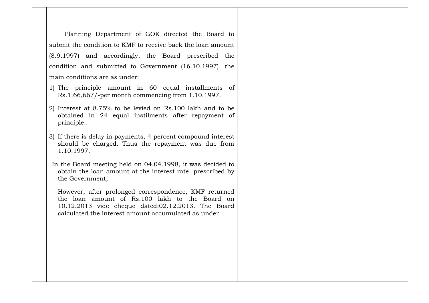Planning Department of GOK directed the Board to submit the condition to KMF to receive back the loan amount (8.9.1997) and accordingly, the Board prescribed the condition and submitted to Government (16.10.1997). the main conditions are as under:

- 1) The principle amount in 60 equal installments of Rs.1,66,667/-per month commencing from 1.10.1997.
- 2) Interest at 8.75% to be levied on Rs.100 lakh and to be obtained in 24 equal instilments after repayment of principle..
- 3) If there is delay in payments, 4 percent compound interest should be charged. Thus the repayment was due from 1.10.1997.
- In the Board meeting held on 04.04.1998, it was decided to obtain the loan amount at the interest rate prescribed by the Government,

However, after prolonged correspondence, KMF returned the loan amount of Rs.100 lakh to the Board on 10.12.2013 vide cheque dated:02.12.2013. The Board calculated the interest amount accumulated as under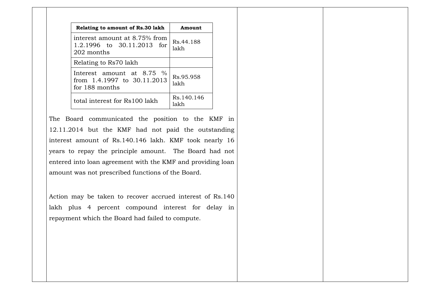| Relating to amount of Rs.30 lakh                                           | Amount             |
|----------------------------------------------------------------------------|--------------------|
| interest amount at 8.75% from<br>1.2.1996 to 30.11.2013 for<br>202 months  | Rs.44.188<br>lakh  |
| Relating to Rs70 lakh                                                      |                    |
| Interest amount at 8.75 %<br>from 1.4.1997 to 30.11.2013<br>for 188 months | Rs.95.958<br>lakh  |
| total interest for Rs100 lakh                                              | Rs.140.146<br>lakh |

 $\mathbf{I}$ 

The Board communicated the position to the KMF in 12.11.2014 but the KMF had not paid the outstanding interest amount of Rs.140.146 lakh. KMF took nearly 16 years to repay the principle amount. The Board had not entered into loan agreement with the KMF and providing loan amount was not prescribed functions of the Board.

Action may be taken to recover accrued interest of Rs.140 lakh plus 4 percent compound interest for delay in repayment which the Board had failed to compute.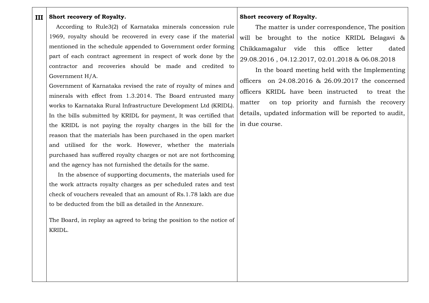#### **III Short recovery of Royalty.**

 According to Rule3(2) of Karnataka minerals concession rule 1969, royalty should be recovered in every case if the material mentioned in the schedule appended to Government order forming part of each contract agreement in respect of work done by the contractor and recoveries should be made and credited to Government H/A.

Government of Karnataka revised the rate of royalty of mines and minerals with effect from 1.3.2014. The Board entrusted many works to Karnataka Rural Infrastructure Development Ltd (KRIDL). In the bills submitted by KRIDL for payment, It was certified that the KRIDL is not paying the royalty charges in the bill for the reason that the materials has been purchased in the open market and utilised for the work. However, whether the materials purchased has suffered royalty charges or not are not forthcoming and the agency has not furnished the details for the same.

 In the absence of supporting documents, the materials used for the work attracts royalty charges as per scheduled rates and test check of vouchers revealed that an amount of Rs.1.78 lakh are due to be deducted from the bill as detailed in the Annexure.

The Board, in replay as agreed to bring the position to the notice of KRIDL.

#### **Short recovery of Royalty.**

 The matter is under correspondence, The position will be brought to the notice KRIDL Belagavi & Chikkamagalur vide this office letter dated 29.08.2016 , 04.12.2017, 02.01.2018 & 06.08.2018

 In the board meeting held with the Implementing officers on 24.08.2016 & 26.09.2017 the concerned officers KRIDL have been instructed to treat the matter on top priority and furnish the recovery details, updated information will be reported to audit, in due course.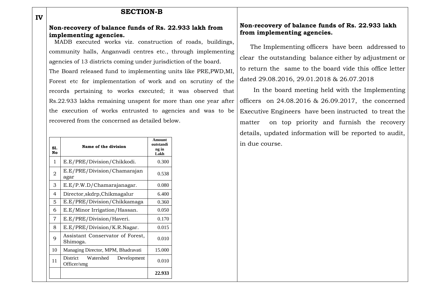#### **SECTION-B**

#### **Non-recovery of balance funds of Rs. 22.933 lakh from implementing agencies.**

 MADB executed works viz. construction of roads, buildings, community halls, Anganvadi centres etc., through implementing agencies of 13 districts coming under jurisdiction of the board. The Board released fund to implementing units like PRE,PWD,MI, Forest etc for implementation of work and on scrutiny of the records pertaining to works executed; it was observed that Rs.22.933 lakhs remaining unspent for more than one year after the execution of works entrusted to agencies and was to be recovered from the concerned as detailed below.

| S1.<br>No | Name of the division                                | Amount<br>outstandi<br>ng in<br>Lakh |
|-----------|-----------------------------------------------------|--------------------------------------|
| 1         | E.E/PRE/Division/Chikkodi.                          | 0.300                                |
| 2         | E.E/PRE/Division/Chamarajan<br>agar                 | 0.538                                |
| 3         | E.E/P.W.D/Chamarajanagar.                           | 0.080                                |
| 4         | Director, skdrp, Chikmagalur                        | 6.400                                |
| 5         | E.E/PRE/Division/Chikkamaga                         | 0.360                                |
| 6         | E.E/Minor Irrigation/Hassan.                        | 0.050                                |
| 7         | E.E/PRE/Division/Haveri.                            | 0.170                                |
| 8         | E.E/PRE/Division/K.R.Nagar.                         | 0.015                                |
| 9         | Assistant Conservator of Forest,<br>Shimoga.        | 0.010                                |
| 10        | Managing Director, MPM, Bhadravati                  | 15.000                               |
| 11        | District<br>Watershed<br>Development<br>Officer/smg | 0.010                                |
|           |                                                     | 22.933                               |
|           |                                                     |                                      |

#### **Non-recovery of balance funds of Rs. 22.933 lakh from implementing agencies.**

The Implementing officers have been addressed to clear the outstanding balance either by adjustment or to return the same to the board vide this office letter dated 29.08.2016, 29.01.2018 & 26.07.2018

 In the board meeting held with the Implementing officers on 24.08.2016 & 26.09.2017, the concerned Executive Engineers have been instructed to treat the matter on top priority and furnish the recovery details, updated information will be reported to audit, in due course.

**IV**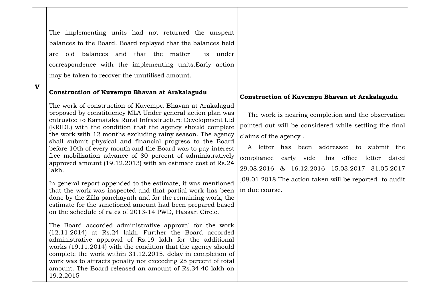The implementing units had not returned the unspent balances to the Board. Board replayed that the balances held are old balances and that the matter is under correspondence with the implementing units.Early action may be taken to recover the unutilised amount.

**V**

## **Construction of Kuvempu Bhavan at Arakalagudu**

The work of construction of Kuvempu Bhavan at Arakalagud proposed by constituency MLA Under general action plan was entrusted to Karnataka Rural Infrastructure Development Ltd (KRIDL) with the condition that the agency should complete the work with 12 months excluding rainy season. The agency shall submit physical and financial progress to the Board before 10th of every month and the Board was to pay interest free mobilization advance of 80 percent of administratively approved amount (19.12.2013) with an estimate cost of Rs.24 lakh.

In general report appended to the estimate, it was mentioned that the work was inspected and that partial work has been done by the Zilla panchayath and for the remaining work, the estimate for the sanctioned amount had been prepared based on the schedule of rates of 2013-14 PWD, Hassan Circle.

The Board accorded administrative approval for the work (12.11.2014) at Rs.24 lakh. Further the Board accorded administrative approval of Rs.19 lakh for the additional works (19.11.2014) with the condition that the agency should complete the work within 31.12.2015. delay in completion of work was to attracts penalty not exceeding 25 percent of total amount. The Board released an amount of Rs.34.40 lakh on 19.2.2015

#### **Construction of Kuvempu Bhavan at Arakalagudu**

 The work is nearing completion and the observation pointed out will be considered while settling the final claims of the agency .

 A letter has been addressed to submit the compliance early vide this office letter dated 29.08.2016 & 16.12.2016 15.03.2017 31.05.2017 ,08.01.2018 The action taken will be reported to audit in due course.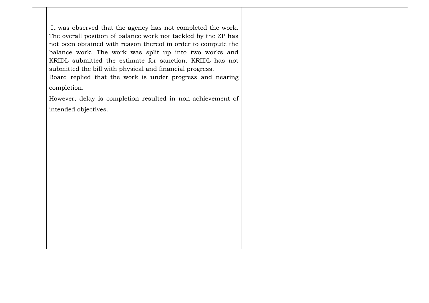It was observed that the agency has not completed the work. The overall position of balance work not tackled by the ZP has not been obtained with reason thereof in order to compute the balance work. The work was split up into two works and KRIDL submitted the estimate for sanction. KRIDL has not submitted the bill with physical and financial progress. Board replied that the work is under progress and nearing completion. However, delay is completion resulted in non-achievement of intended objectives.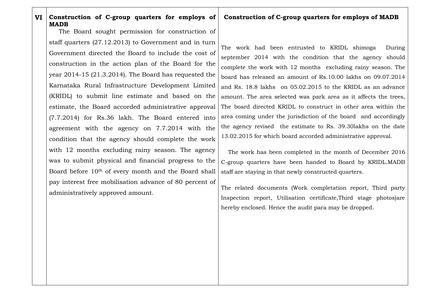## **VI Construction of C-group quarters for employs of MADB**

 The Board sought permission for construction of staff quarters (27.12.2013) to Government and in turn Government directed the Board to include the cost of construction in the action plan of the Board for the year 2014-15 (21.3.2014). The Board has requested the Karnataka Rural Infrastructure Development Limited (KRIDL) to submit line estimate and based on the estimate, the Board accorded administrative approval (7.7.2014) for Rs.36 lakh. The Board entered into agreement with the agency on 7.7.2014 with the condition that the agency should complete the work with 12 months excluding rainy season. The agency was to submit physical and financial progress to the Board before 10th of every month and the Board shall pay interest free mobilisation advance of 80 percent of administratively approved amount.

#### **Construction of C-group quarters for employs of MADB**

The work had been entrusted to KRIDL shimoga During september 2014 with the condition that the agency should complete the work with 12 months excluding rainy season. The board has released an amount of Rs.10.00 lakhs on 09.07.2014 and Rs. 18.8 lakhs on 05.02.2015 to the KRIDL as an advance amount. The area selected was park area as it affects the trees, The board directed KRIDL to construct in other area within the area coming under the jurisdiction of the board and accordingly the agency revised the estimate to Rs. 39.30lakhs on the date 13.02.2015 for which board accorded administrative approval.

 The work has been completed in the month of December 2016 C-group quarters have been handed to Board by KRIDL.MADB staff are staying in that newly constructed quarters.

The related documents (Work completation report, Third party Inspection report, Utilisation certificate,Third stage photos)are hereby enclosed. Hence the audit para may be dropped.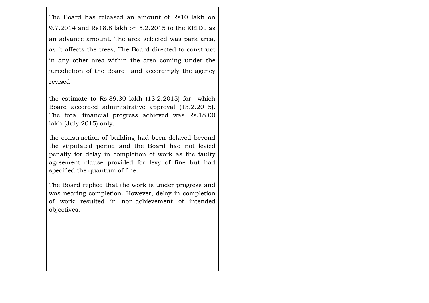The Board has released an amount of Rs10 lakh on 9.7.2014 and Rs18.8 lakh on 5.2.2015 to the KRIDL as an advance amount. The area selected was park area, as it affects the trees, The Board directed to construct in any other area within the area coming under the jurisdiction of the Board and accordingly the agency revised

the estimate to Rs.39.30 lakh (13.2.2015) for which Board accorded administrative approval (13.2.2015). The total financial progress achieved was Rs.18.00 lakh (July 2015) only.

the construction of building had been delayed beyond the stipulated period and the Board had not levied penalty for delay in completion of work as the faulty agreement clause provided for levy of fine but had specified the quantum of fine.

The Board replied that the work is under progress and was nearing completion. However, delay in completion of work resulted in non-achievement of intended objectives.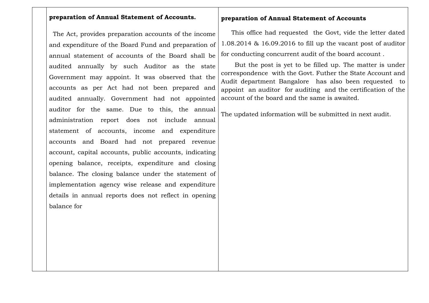#### **preparation of Annual Statement of Accounts.**

 The Act, provides preparation accounts of the income and expenditure of the Board Fund and preparation of annual statement of accounts of the Board shall be audited annually by such Auditor as the state Government may appoint. It was observed that the accounts as per Act had not been prepared and audited annually. Government had not appointed auditor for the same. Due to this, the annual administration report does not include annual statement of accounts, income and expenditure accounts and Board had not prepared revenue account, capital accounts, public accounts, indicating opening balance, receipts, expenditure and closing balance. The closing balance under the statement of implementation agency wise release and expenditure details in annual reports does not reflect in opening balance for

### **preparation of Annual Statement of Accounts**

This office had requested the Govt, vide the letter dated 1.08.2014 & 16.09.2016 to fill up the vacant post of auditor for conducting concurrent audit of the board account .

 But the post is yet to be filled up. The matter is under correspondence with the Govt. Futher the State Account and Audit department Bangalore has also been requested to appoint an auditor for auditing and the certification of the account of the board and the same is awaited.

The updated information will be submitted in next audit.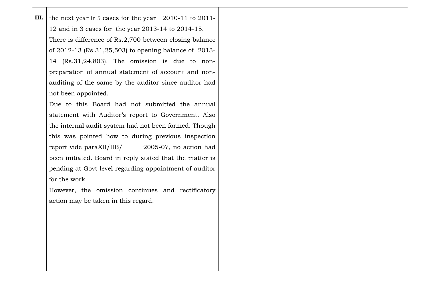| III. | the next year in 5 cases for the year 2010-11 to 2011-   |
|------|----------------------------------------------------------|
|      | 12 and in 3 cases for the year 2013-14 to 2014-15.       |
|      | There is difference of Rs.2,700 between closing balance  |
|      | of 2012-13 (Rs.31,25,503) to opening balance of 2013-    |
|      | 14 (Rs.31,24,803). The omission is due to non-           |
|      | preparation of annual statement of account and non-      |
|      | auditing of the same by the auditor since auditor had    |
|      | not been appointed.                                      |
|      | Due to this Board had not submitted the annual           |
|      | statement with Auditor's report to Government. Also      |
|      | the internal audit system had not been formed. Though    |
|      | this was pointed how to during previous inspection       |
|      | report vide paraXII/IIB/<br>$2005-07$ , no action had    |
|      | been initiated. Board in reply stated that the matter is |
|      | pending at Govt level regarding appointment of auditor   |
|      | for the work.                                            |
|      | However, the omission continues and rectificatory        |
|      | action may be taken in this regard.                      |
|      |                                                          |
|      |                                                          |
|      |                                                          |
|      |                                                          |
|      |                                                          |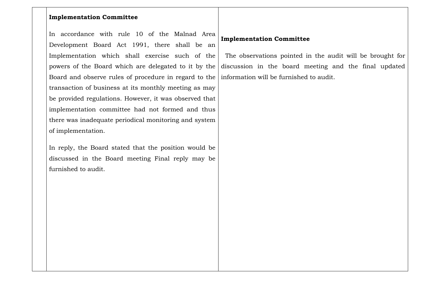#### **Implementation Committee**

In accordance with rule 10 of the Malnad Area Development Board Act 1991, there shall be an Implementation which shall exercise such of the powers of the Board which are delegated to it by the Board and observe rules of procedure in regard to the transaction of business at its monthly meeting as may be provided regulations. However, it was observed that implementation committee had not formed and thus there was inadequate periodical monitoring and system of implementation.

In reply, the Board stated that the position would be discussed in the Board meeting Final reply may be furnished to audit.

#### **Implementation Committee**

The observations pointed in the audit will be brought for discussion in the board meeting and the final updated information will be furnished to audit.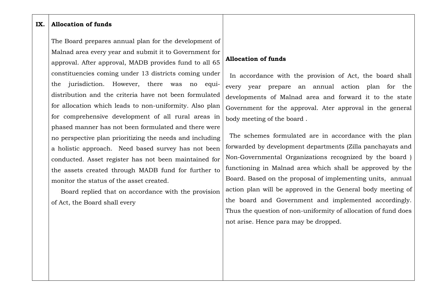#### **IX. Allocation of funds**

The Board prepares annual plan for the development of Malnad area every year and submit it to Government for approval. After approval, MADB provides fund to all 65 constituencies coming under 13 districts coming under the jurisdiction. However, there was no equidistribution and the criteria have not been formulated for allocation which leads to non-uniformity. Also plan for comprehensive development of all rural areas in phased manner has not been formulated and there were no perspective plan prioritizing the needs and including a holistic approach. Need based survey has not been conducted. Asset register has not been maintained for the assets created through MADB fund for further to monitor the status of the asset created.

 Board replied that on accordance with the provision of Act, the Board shall every

#### **Allocation of funds**

In accordance with the provision of Act, the board shall every year prepare an annual action plan for the developments of Malnad area and forward it to the state Government for the approval. Ater approval in the general body meeting of the board .

 The schemes formulated are in accordance with the plan forwarded by development departments (Zilla panchayats and Non-Governmental Organizations recognized by the board ) functioning in Malnad area which shall be approved by the Board. Based on the proposal of implementing units, annual action plan will be approved in the General body meeting of the board and Government and implemented accordingly. Thus the question of non-uniformity of allocation of fund does not arise. Hence para may be dropped.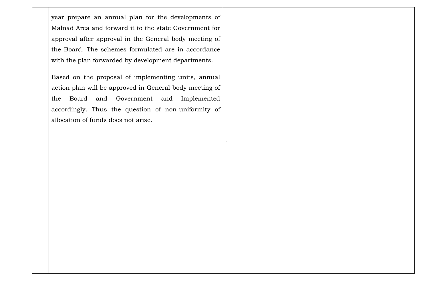year prepare an annual plan for the developments of Malnad Area and forward it to the state Government for approval after approval in the General body meeting of the Board. The schemes formulated are in accordance with the plan forwarded by development departments.

Based on the proposal of implementing units, annual action plan will be approved in General body meeting of the Board and Government and Implemented accordingly. Thus the question of non-uniformity of allocation of funds does not arise.

.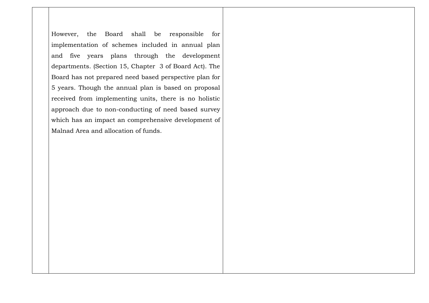However, the Board shall be responsible for implementation of schemes included in annual plan and five years plans through the development departments. (Section 15, Chapter 3 of Board Act). The Board has not prepared need based perspective plan for 5 years. Though the annual plan is based on proposal received from implementing units, there is no holistic approach due to non-conducting of need based survey which has an impact an comprehensive development of Malnad Area and allocation of funds.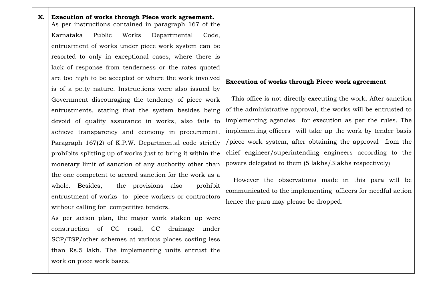# **X. Execution of works through Piece work agreement.** As per instructions contained in paragraph 167 of the Karnataka Public Works Departmental Code, entrustment of works under piece work system can be resorted to only in exceptional cases, where there is lack of response from tenderness or the rates quoted are too high to be accepted or where the work involved is of a petty nature. Instructions were also issued by Government discouraging the tendency of piece work entrustments, stating that the system besides being devoid of quality assurance in works, also fails to achieve transparency and economy in procurement. Paragraph 167(2) of K.P.W. Departmental code strictly prohibits splitting up of works just to bring it within the monetary limit of sanction of any authority other than the one competent to accord sanction for the work as a whole. Besides, the provisions also prohibit entrustment of works to piece workers or contractors without calling for competitive tenders. As per action plan, the major work staken up were

construction of CC road, CC drainage under SCP/TSP/other schemes at various places costing less than Rs.5 lakh. The implementing units entrust the work on piece work bases.

#### **Execution of works through Piece work agreement**

 This office is not directly executing the work. After sanction of the administrative approval, the works will be entrusted to implementing agencies for execution as per the rules. The implementing officers will take up the work by tender basis /piece work system, after obtaining the approval from the chief engineer/superintending engineers according to the powers delegated to them (5 lakhs/3lakhs respectively)

 However the observations made in this para will be communicated to the implementing officers for needful action hence the para may please be dropped.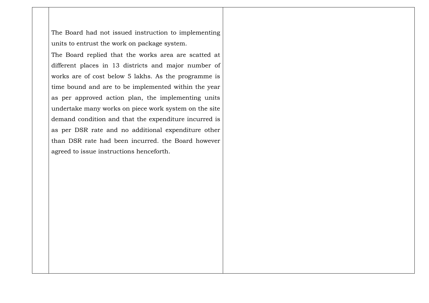The Board had not issued instruction to implementing units to entrust the work on package system.

The Board replied that the works area are scatted at different places in 13 districts and major number of works are of cost below 5 lakhs. As the programme is time bound and are to be implemented within the year as per approved action plan, the implementing units undertake many works on piece work system on the site demand condition and that the expenditure incurred is as per DSR rate and no additional expenditure other than DSR rate had been incurred. the Board however agreed to issue instructions henceforth.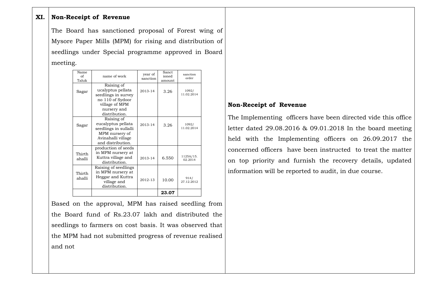#### **XI. Non-Receipt of Revenue**

The Board has sanctioned proposal of Forest wing of Mysore Paper Mills (MPM) for rising and distribution of seedlings under Special programme approved in Board meeting.

| Name<br>of<br>Taluk | name of work                                                                                                                 | year of<br>sanction | Sanct<br>ioned<br>amount | sanction<br>order    |
|---------------------|------------------------------------------------------------------------------------------------------------------------------|---------------------|--------------------------|----------------------|
| Sagar               | Raising of<br>ucalyptus pellata<br>seedlings in survey<br>no 110 of Sydoor<br>village of MPM<br>nursery and<br>distribution. | 2013-14             | 3.26                     | 1092/<br>11.02.2014  |
| Sagar               | Raising of<br>eucalyptus pellata<br>seedlings in sullalli<br>MPM nursery of<br>Avinahalli village<br>and distribution.       | 2013-14             | 3.26                     | 1092/<br>11.02.2014  |
| Thirth<br>ahalli    | production of seeds<br>in MPM nursery at<br>Kuttra village and<br>distribution.                                              | 2013-14             | 6.550                    | 1125A/15.<br>02.2014 |
| Thirth<br>ahalli    | Raising of seedlings<br>in MPM nursery at<br>Heggar and Kuttra<br>village and<br>distribution.                               | 2012-13             | 10.00                    | 914/<br>27.12.2012   |
|                     |                                                                                                                              |                     | 23.07                    |                      |

Based on the approval, MPM has raised seedling from the Board fund of Rs.23.07 lakh and distributed the seedlings to farmers on cost basis. It was observed that the MPM had not submitted progress of revenue realised and not

#### **Non-Receipt of Revenue**

The Implementing officers have been directed vide this office letter dated 29.08.2016 & 09.01.2018 In the board meeting held with the Implementing officers on 26.09.2017 the concerned officers have been instructed to treat the matter on top priority and furnish the recovery details, updated information will be reported to audit, in due course.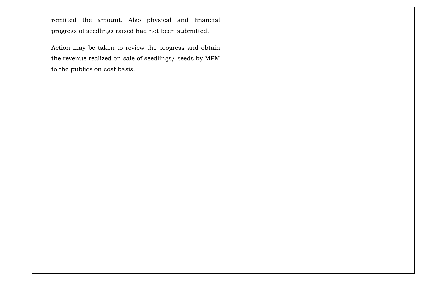remitted the amount. Also physical and financial progress of seedlings raised had not been submitted.

Action may be taken to review the progress and obtain the revenue realized on sale of seedlings/ seeds by MPM to the publics on cost basis.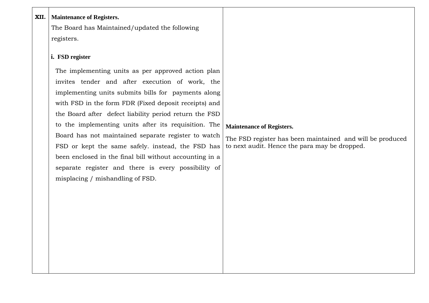#### **XII. Maintenance of Registers.**

The Board has Maintained/updated the following registers.

#### **i. FSD register**

The implementing units as per approved action plan invites tender and after execution of work, the implementing units submits bills for payments along with FSD in the form FDR (Fixed deposit receipts) and the Board after defect liability period return the FSD to the implementing units after its requisition. The Board has not maintained separate register to watch FSD or kept the same safely. instead, the FSD has been enclosed in the final bill without accounting in a separate register and there is every possibility of misplacing / mishandling of FSD.

#### **Maintenance of Registers.**

The FSD register has been maintained and will be produced to next audit. Hence the para may be dropped.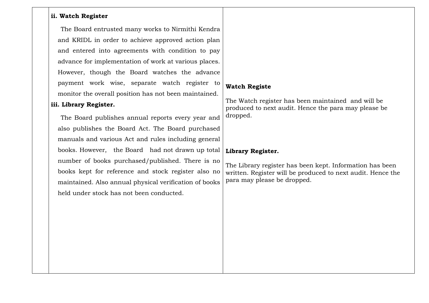#### **ii. Watch Register**

 The Board entrusted many works to Nirmithi Kendra and KRIDL in order to achieve approved action plan and entered into agreements with condition to pay advance for implementation of work at various places. However, though the Board watches the advance payment work wise, separate watch register to monitor the overall position has not been maintained.

#### **iii. Library Register.**

 The Board publishes annual reports every year and also publishes the Board Act. The Board purchased manuals and various Act and rules including general books. However, the Board had not drawn up total number of books purchased/published. There is no books kept for reference and stock register also no maintained. Also annual physical verification of books held under stock has not been conducted.

### **Watch Registe**

The Watch register has been maintained and will be produced to next audit. Hence the para may please be dropped.

#### **Library Register.**

The Library register has been kept. Information has been written. Register will be produced to next audit. Hence the para may please be dropped.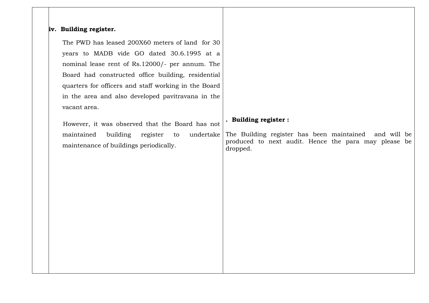#### **iv. Building register.**

 The PWD has leased 200X60 meters of land for 30 years to MADB vide GO dated 30.6.1995 at a nominal lease rent of Rs.12000/- per annum. The Board had constructed office building, residential quarters for officers and staff working in the Board in the area and also developed pavitravana in the vacant area.

 However, it was observed that the Board has not maintained building register to undertake maintenance of buildings periodically.

#### **. Building register :**

The Building register has been maintained and will be produced to next audit. Hence the para may please be dropped.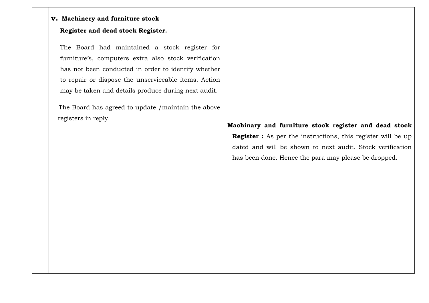#### **v. Machinery and furniture stock**

#### **Register and dead stock Register.**

The Board had maintained a stock register for furniture's, computers extra also stock verification has not been conducted in order to identify whether to repair or dispose the unserviceable items. Action may be taken and details produce during next audit.

 The Board has agreed to update /maintain the above registers in reply.

> **Machinary and furniture stock register and dead stock Register :** As per the instructions, this register will be up dated and will be shown to next audit. Stock verification has been done. Hence the para may please be dropped.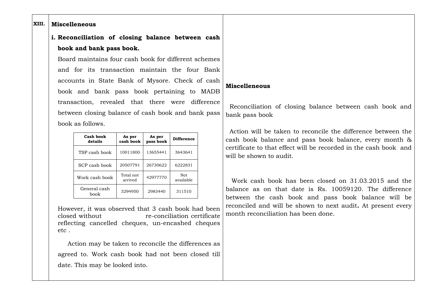#### **XIII. Miscelleneous**

# **i. Reconciliation of closing balance between cash book and bank pass book.**

Board maintains four cash book for different schemes and for its transaction maintain the four Bank accounts in State Bank of Mysore. Check of cash book and bank pass book pertaining to MADB transaction, revealed that there were difference between closing balance of cash book and bank pass book as follows.

| Cash book<br>details | As per<br>cash book  | As per<br>pass book | <b>Difference</b> |
|----------------------|----------------------|---------------------|-------------------|
| TSP cash book        | 10011800             | 13655441            | 3643641           |
| SCP cash book        | 20507791             | 26730622            | 6222831           |
| Work cash book       | Total not<br>arrived | 42977770            | Not.<br>available |
| General cash<br>book | 3294950              | 2983440             | 311510            |

However, it was observed that 3 cash book had been closed without re-conciliation certificate reflecting cancelled cheques, un-encashed cheques etc .

 Action may be taken to reconcile the differences as agreed to. Work cash book had not been closed till date. This may be looked into.

### **Miscelleneous**

 Reconciliation of closing balance between cash book and bank pass book

 Action will be taken to reconcile the difference between the cash book balance and pass book balance, every month & certificate to that effect will be recorded in the cash book and will be shown to audit.

 Work cash book has been closed on 31.03.2015 and the balance as on that date is Rs. 10059120. The difference between the cash book and pass book balance will be reconciled and will be shown to next audit**.** At present every month reconciliation has been done.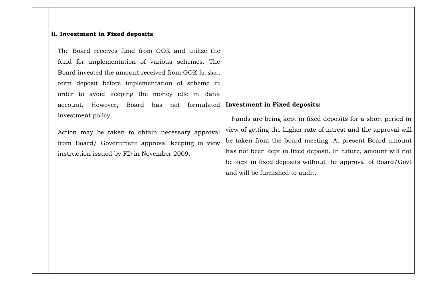#### **ii. Investment in Fixed deposits**

The Board receives fund from GOK and utilize the fund for implementation of various schemes. The Board invested the amount received from GOK for short term deposit before implementation of scheme in order to avoid keeping the money idle in Bank account. However, Board has not formulated investment policy.

Action may be taken to obtain necessary approval from Board/ Government approval keeping in view instruction issued by FD in November 2009.

#### **Investment in Fixed deposits:**

 Funds are being kept in fixed deposits for a short period in view of getting the higher rate of intrest and the approval will be taken from the board meeting. At present Board amount has not been kept in fixed deposit. In future, amount will not be kept in fixed deposits without the approval of Board/Govt and will be furnished to audit**.**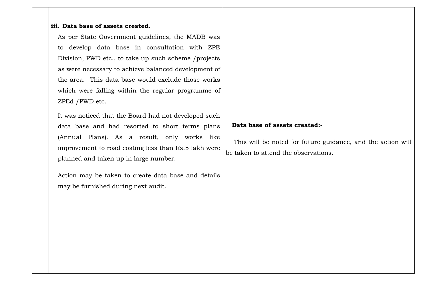#### **iii. Data base of assets created.**

As per State Government guidelines, the MADB was to develop data base in consultation with ZPE Division, PWD etc., to take up such scheme /projects as were necessary to achieve balanced development of the area. This data base would exclude those works which were falling within the regular programme of ZPEd /PWD etc.

It was noticed that the Board had not developed such data base and had resorted to short terms plans (Annual Plans). As a result, only works like improvement to road costing less than Rs.5 lakh were planned and taken up in large number.

Action may be taken to create data base and details may be furnished during next audit.

#### **Data base of assets created:-**

This will be noted for future guidance, and the action will be taken to attend the observations.